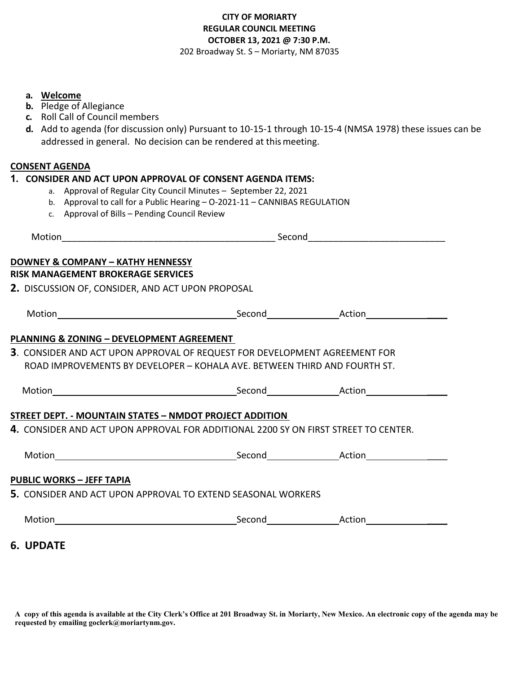# **CITY OF MORIARTY REGULAR COUNCIL MEETING OCTOBER 13, 2021 @ 7:30 P.M.**  202 Broadway St. S – Moriarty, NM 87035

### **a. Welcome**

- **b.** Pledge of Allegiance
- **c.** Roll Call of Council members
- **d.** Add to agenda (for discussion only) Pursuant to 10-15-1 through 10-15-4 (NMSA 1978) these issues can be addressed in general. No decision can be rendered at thismeeting.

### **CONSENT AGENDA**

6.

#### **1. CONSIDER AND ACT UPON APPROVAL OF CONSENT AGENDA ITEMS:**

- a. Approval of Regular City Council Minutes September 22, 2021
- b. Approval to call for a Public Hearing O-2021-11 CANNIBAS REGULATION
- c. Approval of Bills Pending Council Review

| Motion                                                                                     |  |  |  |
|--------------------------------------------------------------------------------------------|--|--|--|
| DOWNEY & COMPANY - KATHY HENNESSY                                                          |  |  |  |
| RISK MANAGEMENT BROKERAGE SERVICES                                                         |  |  |  |
| 2. DISCUSSION OF, CONSIDER, AND ACT UPON PROPOSAL                                          |  |  |  |
|                                                                                            |  |  |  |
|                                                                                            |  |  |  |
| PLANNING & ZONING - DEVELOPMENT AGREEMENT                                                  |  |  |  |
| 3. CONSIDER AND ACT UPON APPROVAL OF REQUEST FOR DEVELOPMENT AGREEMENT FOR                 |  |  |  |
| ROAD IMPROVEMENTS BY DEVELOPER - KOHALA AVE. BETWEEN THIRD AND FOURTH ST.                  |  |  |  |
|                                                                                            |  |  |  |
|                                                                                            |  |  |  |
| STREET DEPT. - MOUNTAIN STATES – NMDOT PROJECT ADDITION                                    |  |  |  |
| <b>4.</b> CONSIDER AND ACT UPON APPROVAL FOR ADDITIONAL 2200 SY ON FIRST STREET TO CENTER. |  |  |  |
|                                                                                            |  |  |  |
|                                                                                            |  |  |  |
|                                                                                            |  |  |  |
| <u> PUBLIC WORKS – JEFF TAPIA</u>                                                          |  |  |  |
| <b>5.</b> CONSIDER AND ACT UPON APPROVAL TO EXTEND SEASONAL WORKERS                        |  |  |  |

**A copy of this agenda is available at the City Clerk's Office at 201 Broadway St. in Moriarty, New Mexico. An electronic copy of the agenda may be requested by emailing goclerk@moriartynm.gov.**